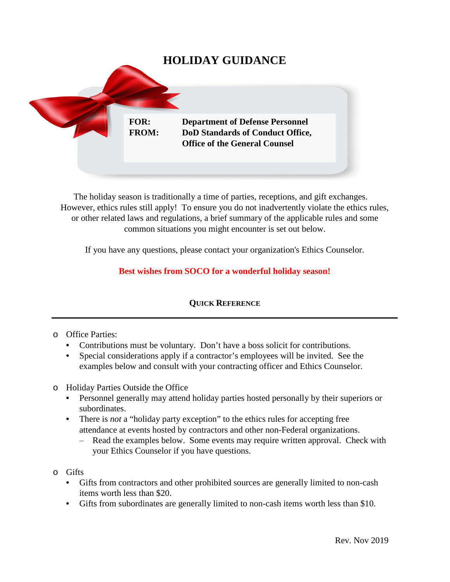

The holiday season is traditionally a time of parties, receptions, and gift exchanges. However, ethics rules still apply! To ensure you do not inadvertently violate the ethics rules, or other related laws and regulations, a brief summary of the applicable rules and some common situations you might encounter is set out below.

If you have any questions, please contact your organization's Ethics Counselor.

# **Best wishes from SOCO for a wonderful holiday season!**

### **QUICK REFERENCE**

### o Office Parties:

- Contributions must be voluntary. Don't have a boss solicit for contributions.
- Special considerations apply if a contractor's employees will be invited. See the examples below and consult with your contracting officer and Ethics Counselor.
- o Holiday Parties Outside the Office
	- Personnel generally may attend holiday parties hosted personally by their superiors or subordinates.
	- There is *not* a "holiday party exception" to the ethics rules for accepting free attendance at events hosted by contractors and other non-Federal organizations.
		- ‒ Read the examples below. Some events may require written approval. Check with your Ethics Counselor if you have questions.
- o Gifts
	- Gifts from contractors and other prohibited sources are generally limited to non-cash items worth less than \$20.
	- Gifts from subordinates are generally limited to non-cash items worth less than \$10.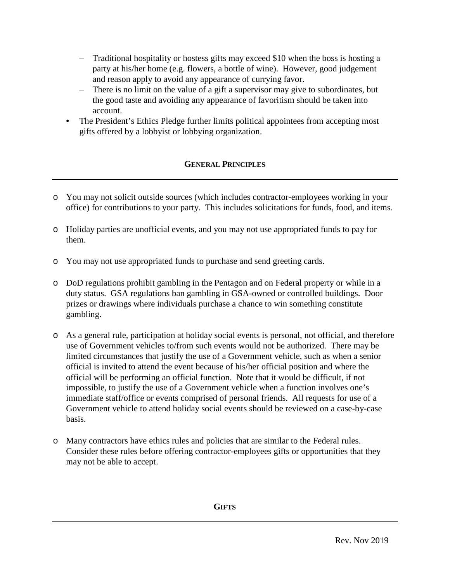- ‒ Traditional hospitality or hostess gifts may exceed \$10 when the boss is hosting a party at his/her home (e.g. flowers, a bottle of wine). However, good judgement and reason apply to avoid any appearance of currying favor.
- ‒ There is no limit on the value of a gift a supervisor may give to subordinates, but the good taste and avoiding any appearance of favoritism should be taken into account.
- The President's Ethics Pledge further limits political appointees from accepting most gifts offered by a lobbyist or lobbying organization.

# **GENERAL PRINCIPLES**

- o You may not solicit outside sources (which includes contractor-employees working in your office) for contributions to your party. This includes solicitations for funds, food, and items.
- o Holiday parties are unofficial events, and you may not use appropriated funds to pay for them.
- o You may not use appropriated funds to purchase and send greeting cards.
- o DoD regulations prohibit gambling in the Pentagon and on Federal property or while in a duty status. GSA regulations ban gambling in GSA-owned or controlled buildings. Door prizes or drawings where individuals purchase a chance to win something constitute gambling.
- o As a general rule, participation at holiday social events is personal, not official, and therefore use of Government vehicles to/from such events would not be authorized. There may be limited circumstances that justify the use of a Government vehicle, such as when a senior official is invited to attend the event because of his/her official position and where the official will be performing an official function. Note that it would be difficult, if not impossible, to justify the use of a Government vehicle when a function involves one's immediate staff/office or events comprised of personal friends. All requests for use of a Government vehicle to attend holiday social events should be reviewed on a case-by-case basis.
- o Many contractors have ethics rules and policies that are similar to the Federal rules. Consider these rules before offering contractor-employees gifts or opportunities that they may not be able to accept.

**GIFTS**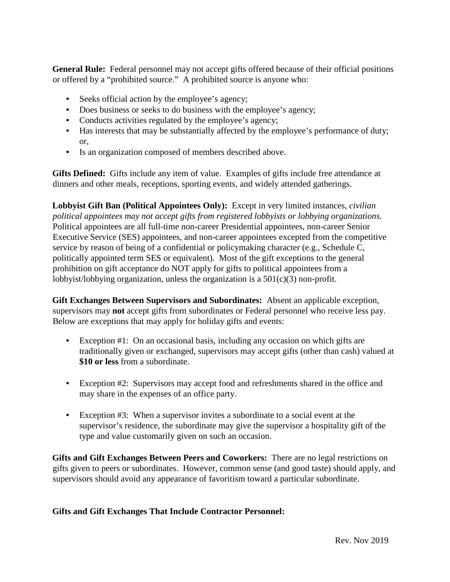**General Rule:** Federal personnel may not accept gifts offered because of their official positions or offered by a "prohibited source." A prohibited source is anyone who:

- Seeks official action by the employee's agency;
- Does business or seeks to do business with the employee's agency;
- Conducts activities regulated by the employee's agency;
- Has interests that may be substantially affected by the employee's performance of duty; or,
- Is an organization composed of members described above.

**Gifts Defined:** Gifts include any item of value. Examples of gifts include free attendance at dinners and other meals, receptions, sporting events, and widely attended gatherings.

**Lobbyist Gift Ban (Political Appointees Only):** Except in very limited instances, *civilian political appointees may not accept gifts from registered lobbyists or lobbying organizations.* Political appointees are all full-time non-career Presidential appointees, non-career Senior Executive Service (SES) appointees, and non-career appointees excepted from the competitive service by reason of being of a confidential or policymaking character (e.g., Schedule C, politically appointed term SES or equivalent). Most of the gift exceptions to the general prohibition on gift acceptance do NOT apply for gifts to political appointees from a lobbyist/lobbying organization, unless the organization is a 501(c)(3) non-profit.

**Gift Exchanges Between Supervisors and Subordinates:** Absent an applicable exception, supervisors may **not** accept gifts from subordinates or Federal personnel who receive less pay. Below are exceptions that may apply for holiday gifts and events:

- Exception #1: On an occasional basis, including any occasion on which gifts are traditionally given or exchanged, supervisors may accept gifts (other than cash) valued at **\$10 or less** from a subordinate.
- Exception #2: Supervisors may accept food and refreshments shared in the office and may share in the expenses of an office party.
- Exception #3: When a supervisor invites a subordinate to a social event at the supervisor's residence, the subordinate may give the supervisor a hospitality gift of the type and value customarily given on such an occasion.

**Gifts and Gift Exchanges Between Peers and Coworkers:** There are no legal restrictions on gifts given to peers or subordinates. However, common sense (and good taste) should apply, and supervisors should avoid any appearance of favoritism toward a particular subordinate.

### **Gifts and Gift Exchanges That Include Contractor Personnel:**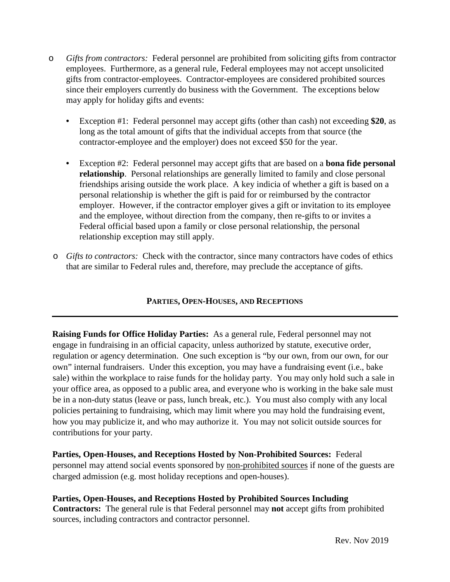- o *Gifts from contractors:* Federal personnel are prohibited from soliciting gifts from contractor employees. Furthermore, as a general rule, Federal employees may not accept unsolicited gifts from contractor-employees. Contractor-employees are considered prohibited sources since their employers currently do business with the Government. The exceptions below may apply for holiday gifts and events:
	- Exception #1: Federal personnel may accept gifts (other than cash) not exceeding **\$20**, as long as the total amount of gifts that the individual accepts from that source (the contractor-employee and the employer) does not exceed \$50 for the year.
	- Exception #2: Federal personnel may accept gifts that are based on a **bona fide personal relationship**. Personal relationships are generally limited to family and close personal friendships arising outside the work place. A key indicia of whether a gift is based on a personal relationship is whether the gift is paid for or reimbursed by the contractor employer. However, if the contractor employer gives a gift or invitation to its employee and the employee, without direction from the company, then re-gifts to or invites a Federal official based upon a family or close personal relationship, the personal relationship exception may still apply.
- o *Gifts to contractors:* Check with the contractor, since many contractors have codes of ethics that are similar to Federal rules and, therefore, may preclude the acceptance of gifts.

### **PARTIES, OPEN-HOUSES, AND RECEPTIONS**

**Raising Funds for Office Holiday Parties:** As a general rule, Federal personnel may not engage in fundraising in an official capacity, unless authorized by statute, executive order, regulation or agency determination. One such exception is "by our own, from our own, for our own" internal fundraisers. Under this exception, you may have a fundraising event (i.e., bake sale) within the workplace to raise funds for the holiday party. You may only hold such a sale in your office area, as opposed to a public area, and everyone who is working in the bake sale must be in a non-duty status (leave or pass, lunch break, etc.). You must also comply with any local policies pertaining to fundraising, which may limit where you may hold the fundraising event, how you may publicize it, and who may authorize it. You may not solicit outside sources for contributions for your party.

**Parties, Open-Houses, and Receptions Hosted by Non-Prohibited Sources:** Federal personnel may attend social events sponsored by non-prohibited sources if none of the guests are charged admission (e.g. most holiday receptions and open-houses).

**Parties, Open-Houses, and Receptions Hosted by Prohibited Sources Including Contractors:** The general rule is that Federal personnel may **not** accept gifts from prohibited sources, including contractors and contractor personnel.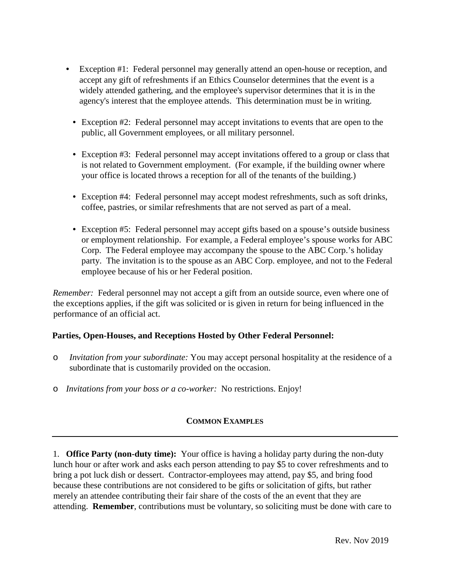- Exception #1: Federal personnel may generally attend an open-house or reception, and accept any gift of refreshments if an Ethics Counselor determines that the event is a widely attended gathering, and the employee's supervisor determines that it is in the agency's interest that the employee attends. This determination must be in writing.
- Exception #2: Federal personnel may accept invitations to events that are open to the public, all Government employees, or all military personnel.
- Exception #3: Federal personnel may accept invitations offered to a group or class that is not related to Government employment. (For example, if the building owner where your office is located throws a reception for all of the tenants of the building.)
- Exception #4: Federal personnel may accept modest refreshments, such as soft drinks, coffee, pastries, or similar refreshments that are not served as part of a meal.
- Exception #5: Federal personnel may accept gifts based on a spouse's outside business or employment relationship. For example, a Federal employee's spouse works for ABC Corp. The Federal employee may accompany the spouse to the ABC Corp.'s holiday party. The invitation is to the spouse as an ABC Corp. employee, and not to the Federal employee because of his or her Federal position.

*Remember:* Federal personnel may not accept a gift from an outside source, even where one of the exceptions applies, if the gift was solicited or is given in return for being influenced in the performance of an official act.

### **Parties, Open-Houses, and Receptions Hosted by Other Federal Personnel:**

- o *Invitation from your subordinate:* You may accept personal hospitality at the residence of a subordinate that is customarily provided on the occasion.
- o *Invitations from your boss or a co-worker:* No restrictions. Enjoy!

# **COMMON EXAMPLES**

1. **Office Party (non-duty time):** Your office is having a holiday party during the non-duty lunch hour or after work and asks each person attending to pay \$5 to cover refreshments and to bring a pot luck dish or dessert. Contractor-employees may attend, pay \$5, and bring food because these contributions are not considered to be gifts or solicitation of gifts, but rather merely an attendee contributing their fair share of the costs of the an event that they are attending. **Remember**, contributions must be voluntary, so soliciting must be done with care to